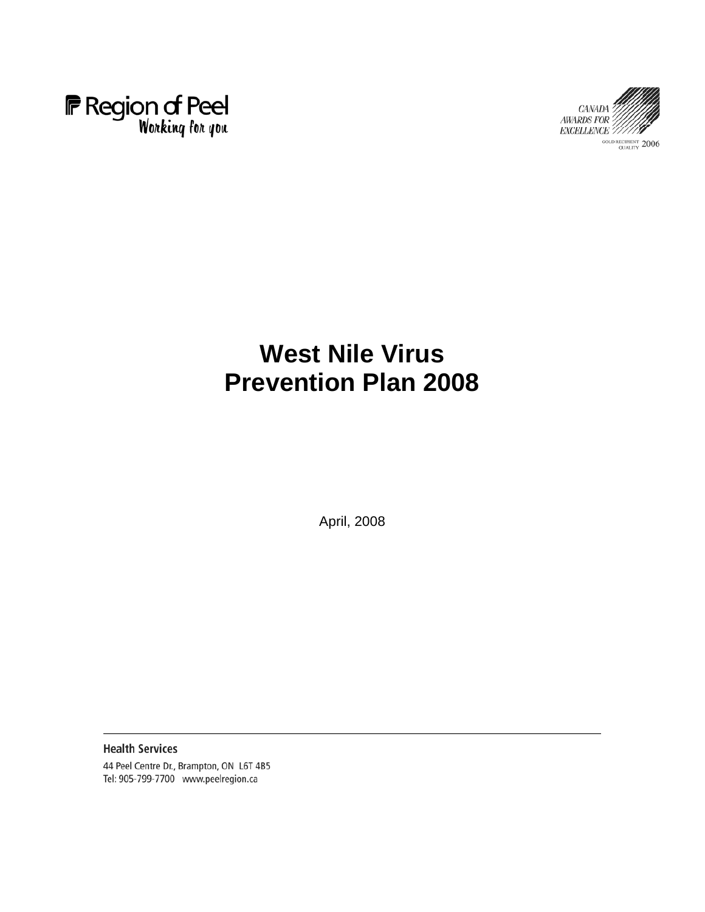



# **West Nile Virus Prevention Plan 2008**

April, 2008

**Health Services** 44 Peel Centre Dr., Brampton, ON L6T 4B5 Tel: 905-799-7700 www.peelregion.ca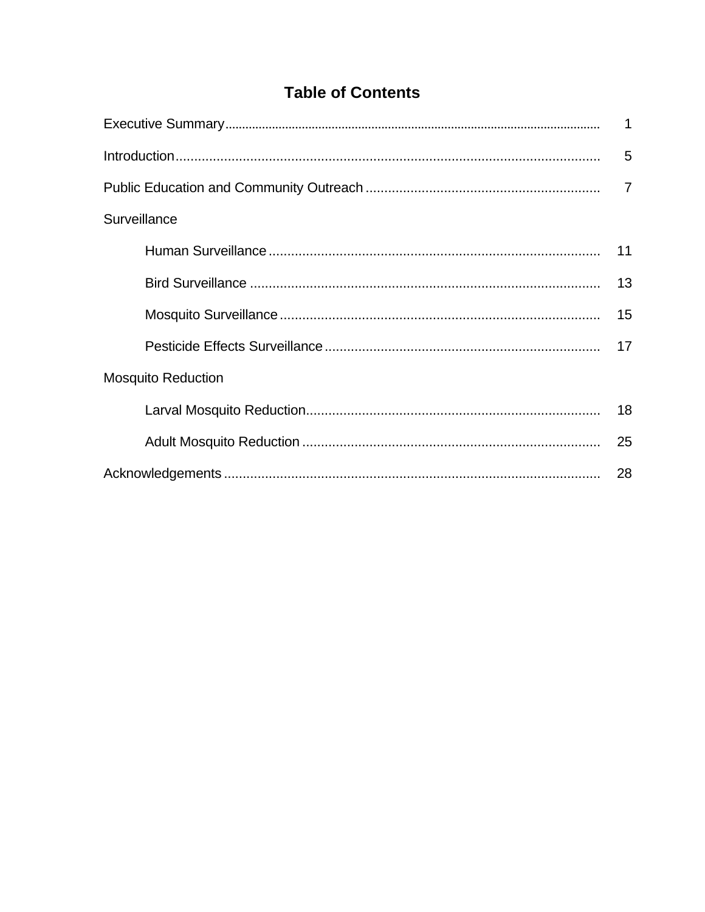# **Table of Contents**

|                           | $\overline{1}$ |  |  |  |  |
|---------------------------|----------------|--|--|--|--|
|                           |                |  |  |  |  |
|                           |                |  |  |  |  |
| Surveillance              |                |  |  |  |  |
|                           | 11             |  |  |  |  |
|                           | 13             |  |  |  |  |
|                           | 15             |  |  |  |  |
|                           | 17             |  |  |  |  |
| <b>Mosquito Reduction</b> |                |  |  |  |  |
|                           |                |  |  |  |  |
|                           | 25             |  |  |  |  |
|                           | 28             |  |  |  |  |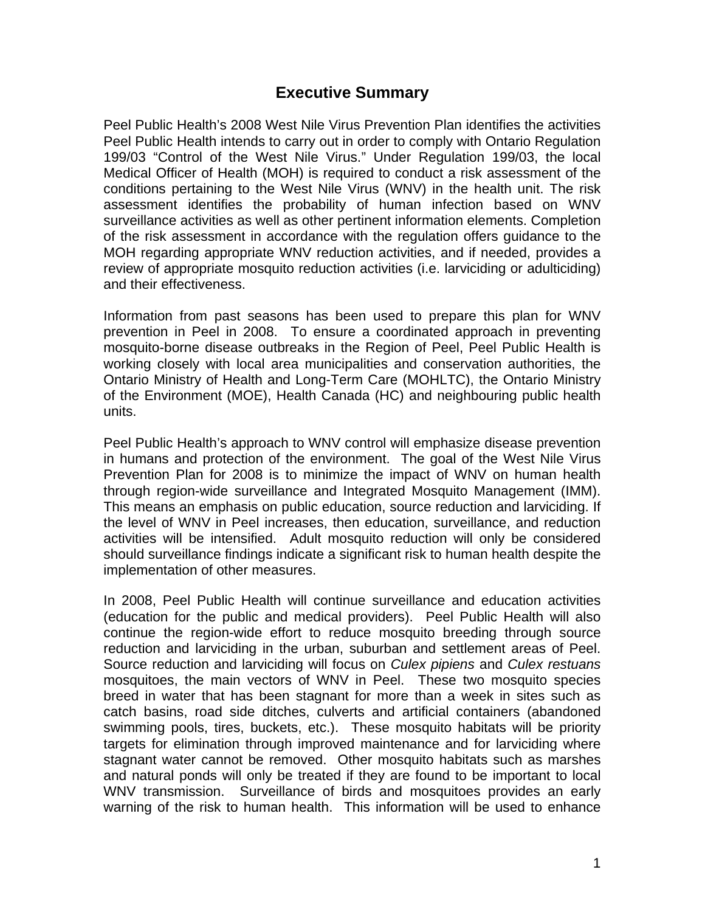## **Executive Summary**

Peel Public Health's 2008 West Nile Virus Prevention Plan identifies the activities Peel Public Health intends to carry out in order to comply with Ontario Regulation 199/03 "Control of the West Nile Virus." Under Regulation 199/03, the local Medical Officer of Health (MOH) is required to conduct a risk assessment of the conditions pertaining to the West Nile Virus (WNV) in the health unit. The risk assessment identifies the probability of human infection based on WNV surveillance activities as well as other pertinent information elements. Completion of the risk assessment in accordance with the regulation offers guidance to the MOH regarding appropriate WNV reduction activities, and if needed, provides a review of appropriate mosquito reduction activities (i.e. larviciding or adulticiding) and their effectiveness.

Information from past seasons has been used to prepare this plan for WNV prevention in Peel in 2008. To ensure a coordinated approach in preventing mosquito-borne disease outbreaks in the Region of Peel, Peel Public Health is working closely with local area municipalities and conservation authorities, the Ontario Ministry of Health and Long-Term Care (MOHLTC), the Ontario Ministry of the Environment (MOE), Health Canada (HC) and neighbouring public health units.

Peel Public Health's approach to WNV control will emphasize disease prevention in humans and protection of the environment. The goal of the West Nile Virus Prevention Plan for 2008 is to minimize the impact of WNV on human health through region-wide surveillance and Integrated Mosquito Management (IMM). This means an emphasis on public education, source reduction and larviciding. If the level of WNV in Peel increases, then education, surveillance, and reduction activities will be intensified. Adult mosquito reduction will only be considered should surveillance findings indicate a significant risk to human health despite the implementation of other measures.

In 2008, Peel Public Health will continue surveillance and education activities (education for the public and medical providers). Peel Public Health will also continue the region-wide effort to reduce mosquito breeding through source reduction and larviciding in the urban, suburban and settlement areas of Peel. Source reduction and larviciding will focus on *Culex pipiens* and *Culex restuans* mosquitoes, the main vectors of WNV in Peel. These two mosquito species breed in water that has been stagnant for more than a week in sites such as catch basins, road side ditches, culverts and artificial containers (abandoned swimming pools, tires, buckets, etc.). These mosquito habitats will be priority targets for elimination through improved maintenance and for larviciding where stagnant water cannot be removed. Other mosquito habitats such as marshes and natural ponds will only be treated if they are found to be important to local WNV transmission. Surveillance of birds and mosquitoes provides an early warning of the risk to human health. This information will be used to enhance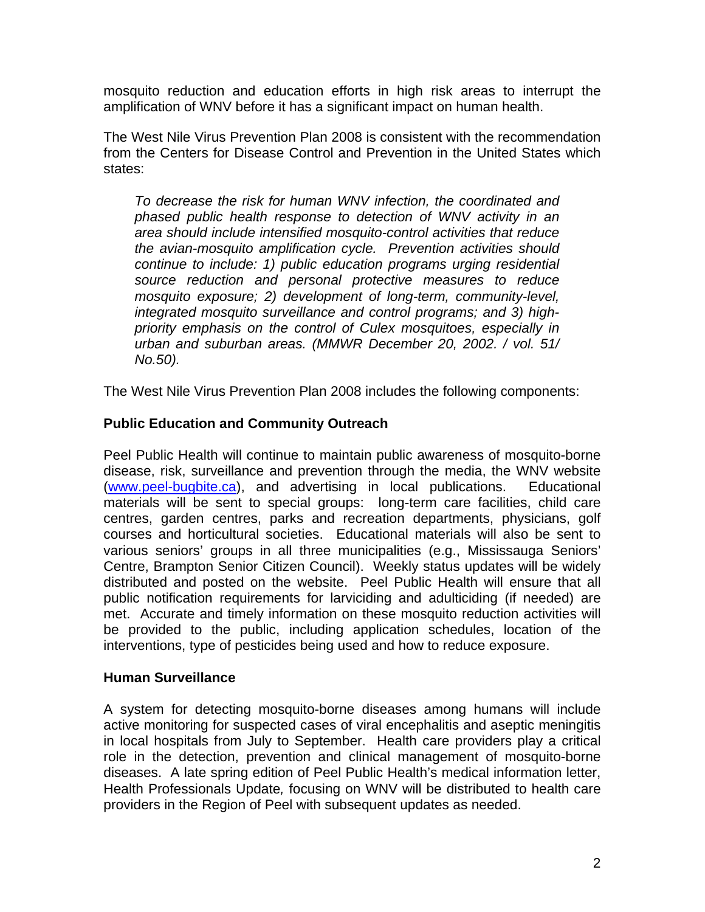mosquito reduction and education efforts in high risk areas to interrupt the amplification of WNV before it has a significant impact on human health.

The West Nile Virus Prevention Plan 2008 is consistent with the recommendation from the Centers for Disease Control and Prevention in the United States which states:

*To decrease the risk for human WNV infection, the coordinated and phased public health response to detection of WNV activity in an area should include intensified mosquito-control activities that reduce the avian-mosquito amplification cycle. Prevention activities should continue to include: 1) public education programs urging residential source reduction and personal protective measures to reduce mosquito exposure; 2) development of long-term, community-level, integrated mosquito surveillance and control programs; and 3) highpriority emphasis on the control of Culex mosquitoes, especially in urban and suburban areas. (MMWR December 20, 2002. / vol. 51/ No.50).* 

The West Nile Virus Prevention Plan 2008 includes the following components:

#### **Public Education and Community Outreach**

Peel Public Health will continue to maintain public awareness of mosquito-borne disease, risk, surveillance and prevention through the media, the WNV website (www.peel-bugbite.ca), and advertising in local publications. Educational materials will be sent to special groups: long-term care facilities, child care centres, garden centres, parks and recreation departments, physicians, golf courses and horticultural societies. Educational materials will also be sent to various seniors' groups in all three municipalities (e.g., Mississauga Seniors' Centre, Brampton Senior Citizen Council). Weekly status updates will be widely distributed and posted on the website. Peel Public Health will ensure that all public notification requirements for larviciding and adulticiding (if needed) are met. Accurate and timely information on these mosquito reduction activities will be provided to the public, including application schedules, location of the interventions, type of pesticides being used and how to reduce exposure.

#### **Human Surveillance**

A system for detecting mosquito-borne diseases among humans will include active monitoring for suspected cases of viral encephalitis and aseptic meningitis in local hospitals from July to September. Health care providers play a critical role in the detection, prevention and clinical management of mosquito-borne diseases. A late spring edition of Peel Public Health's medical information letter, Health Professionals Update*,* focusing on WNV will be distributed to health care providers in the Region of Peel with subsequent updates as needed.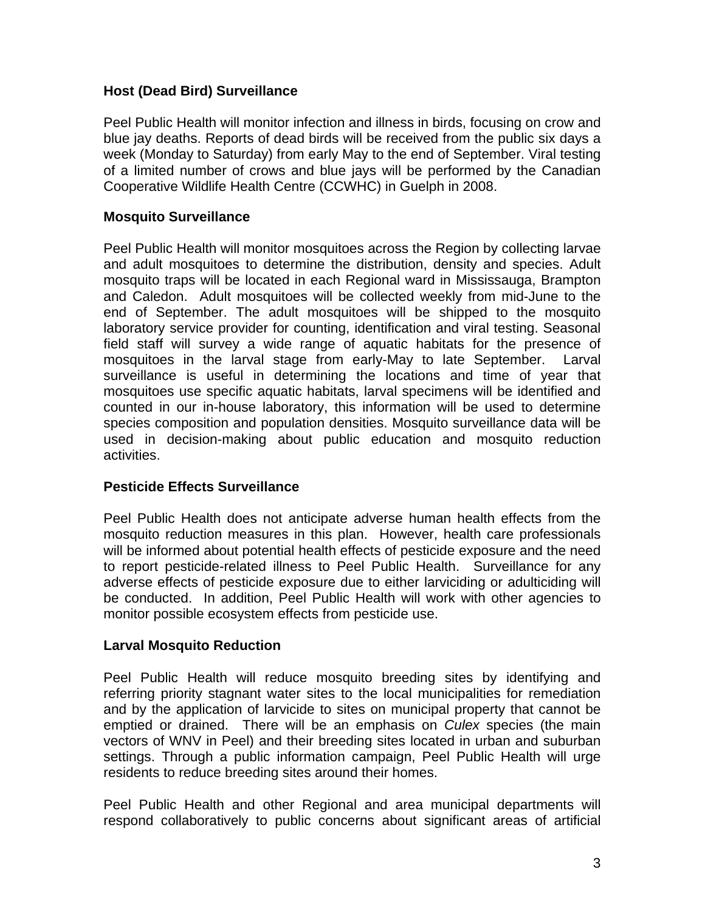#### **Host (Dead Bird) Surveillance**

Peel Public Health will monitor infection and illness in birds, focusing on crow and blue jay deaths. Reports of dead birds will be received from the public six days a week (Monday to Saturday) from early May to the end of September. Viral testing of a limited number of crows and blue jays will be performed by the Canadian Cooperative Wildlife Health Centre (CCWHC) in Guelph in 2008.

#### **Mosquito Surveillance**

Peel Public Health will monitor mosquitoes across the Region by collecting larvae and adult mosquitoes to determine the distribution, density and species. Adult mosquito traps will be located in each Regional ward in Mississauga, Brampton and Caledon. Adult mosquitoes will be collected weekly from mid-June to the end of September. The adult mosquitoes will be shipped to the mosquito laboratory service provider for counting, identification and viral testing. Seasonal field staff will survey a wide range of aquatic habitats for the presence of mosquitoes in the larval stage from early-May to late September. Larval surveillance is useful in determining the locations and time of year that mosquitoes use specific aquatic habitats, larval specimens will be identified and counted in our in-house laboratory, this information will be used to determine species composition and population densities. Mosquito surveillance data will be used in decision-making about public education and mosquito reduction activities.

#### **Pesticide Effects Surveillance**

Peel Public Health does not anticipate adverse human health effects from the mosquito reduction measures in this plan. However, health care professionals will be informed about potential health effects of pesticide exposure and the need to report pesticide-related illness to Peel Public Health. Surveillance for any adverse effects of pesticide exposure due to either larviciding or adulticiding will be conducted. In addition, Peel Public Health will work with other agencies to monitor possible ecosystem effects from pesticide use.

#### **Larval Mosquito Reduction**

Peel Public Health will reduce mosquito breeding sites by identifying and referring priority stagnant water sites to the local municipalities for remediation and by the application of larvicide to sites on municipal property that cannot be emptied or drained. There will be an emphasis on *Culex* species (the main vectors of WNV in Peel) and their breeding sites located in urban and suburban settings. Through a public information campaign, Peel Public Health will urge residents to reduce breeding sites around their homes.

Peel Public Health and other Regional and area municipal departments will respond collaboratively to public concerns about significant areas of artificial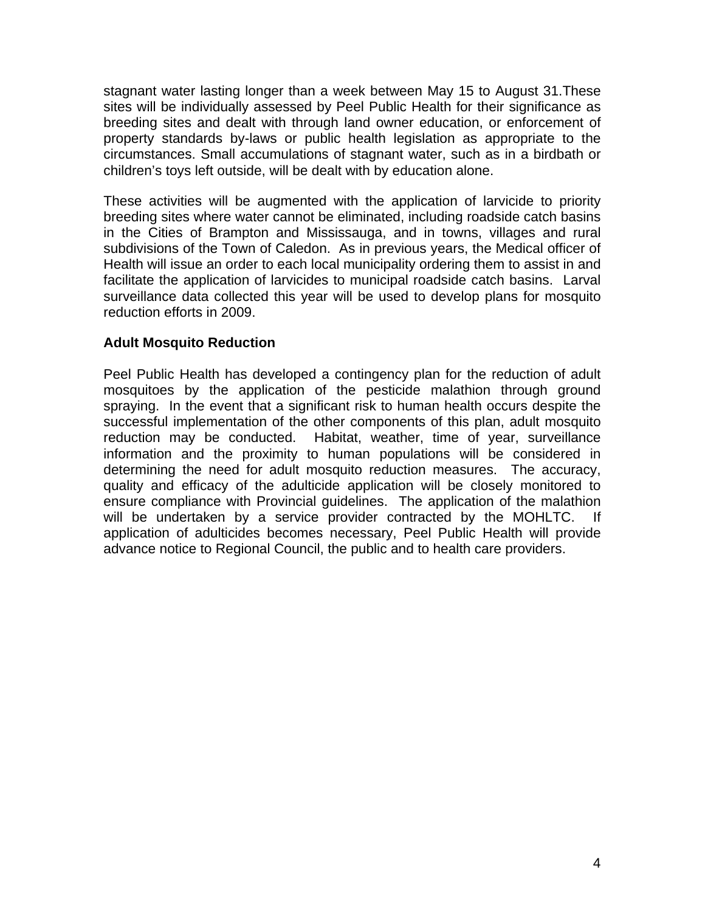stagnant water lasting longer than a week between May 15 to August 31.These sites will be individually assessed by Peel Public Health for their significance as breeding sites and dealt with through land owner education, or enforcement of property standards by-laws or public health legislation as appropriate to the circumstances. Small accumulations of stagnant water, such as in a birdbath or children's toys left outside, will be dealt with by education alone.

These activities will be augmented with the application of larvicide to priority breeding sites where water cannot be eliminated, including roadside catch basins in the Cities of Brampton and Mississauga, and in towns, villages and rural subdivisions of the Town of Caledon. As in previous years, the Medical officer of Health will issue an order to each local municipality ordering them to assist in and facilitate the application of larvicides to municipal roadside catch basins. Larval surveillance data collected this year will be used to develop plans for mosquito reduction efforts in 2009.

#### **Adult Mosquito Reduction**

Peel Public Health has developed a contingency plan for the reduction of adult mosquitoes by the application of the pesticide malathion through ground spraying. In the event that a significant risk to human health occurs despite the successful implementation of the other components of this plan, adult mosquito reduction may be conducted. Habitat, weather, time of year, surveillance information and the proximity to human populations will be considered in determining the need for adult mosquito reduction measures. The accuracy, quality and efficacy of the adulticide application will be closely monitored to ensure compliance with Provincial guidelines. The application of the malathion will be undertaken by a service provider contracted by the MOHLTC. If application of adulticides becomes necessary, Peel Public Health will provide advance notice to Regional Council, the public and to health care providers.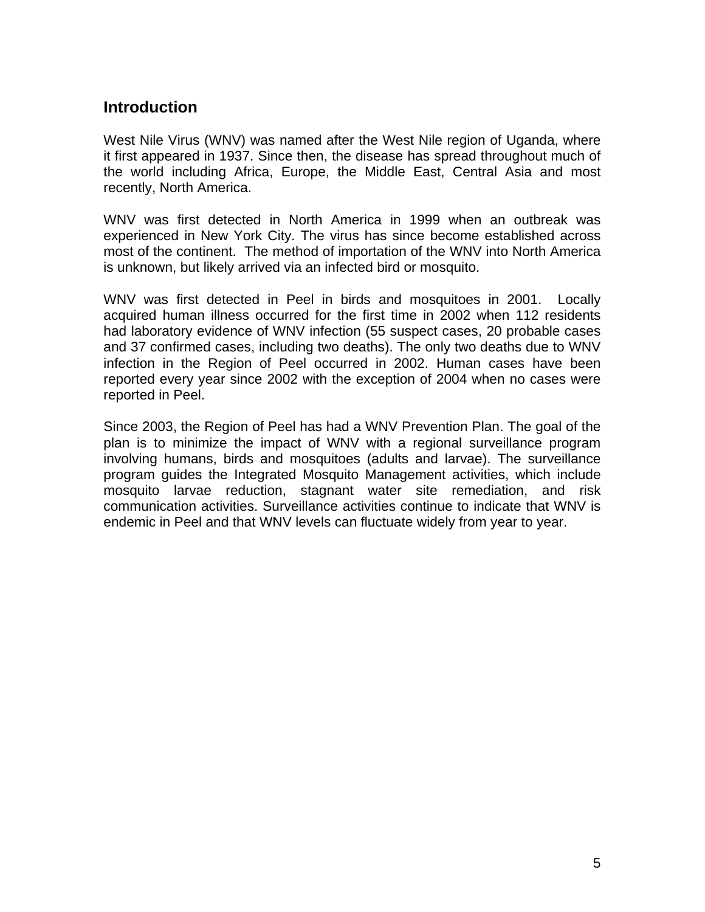## **Introduction**

West Nile Virus (WNV) was named after the West Nile region of Uganda, where it first appeared in 1937. Since then, the disease has spread throughout much of the world including Africa, Europe, the Middle East, Central Asia and most recently, North America.

WNV was first detected in North America in 1999 when an outbreak was experienced in New York City. The virus has since become established across most of the continent. The method of importation of the WNV into North America is unknown, but likely arrived via an infected bird or mosquito.

WNV was first detected in Peel in birds and mosquitoes in 2001. Locally acquired human illness occurred for the first time in 2002 when 112 residents had laboratory evidence of WNV infection (55 suspect cases, 20 probable cases and 37 confirmed cases, including two deaths). The only two deaths due to WNV infection in the Region of Peel occurred in 2002. Human cases have been reported every year since 2002 with the exception of 2004 when no cases were reported in Peel.

Since 2003, the Region of Peel has had a WNV Prevention Plan. The goal of the plan is to minimize the impact of WNV with a regional surveillance program involving humans, birds and mosquitoes (adults and larvae). The surveillance program guides the Integrated Mosquito Management activities, which include mosquito larvae reduction, stagnant water site remediation, and risk communication activities. Surveillance activities continue to indicate that WNV is endemic in Peel and that WNV levels can fluctuate widely from year to year.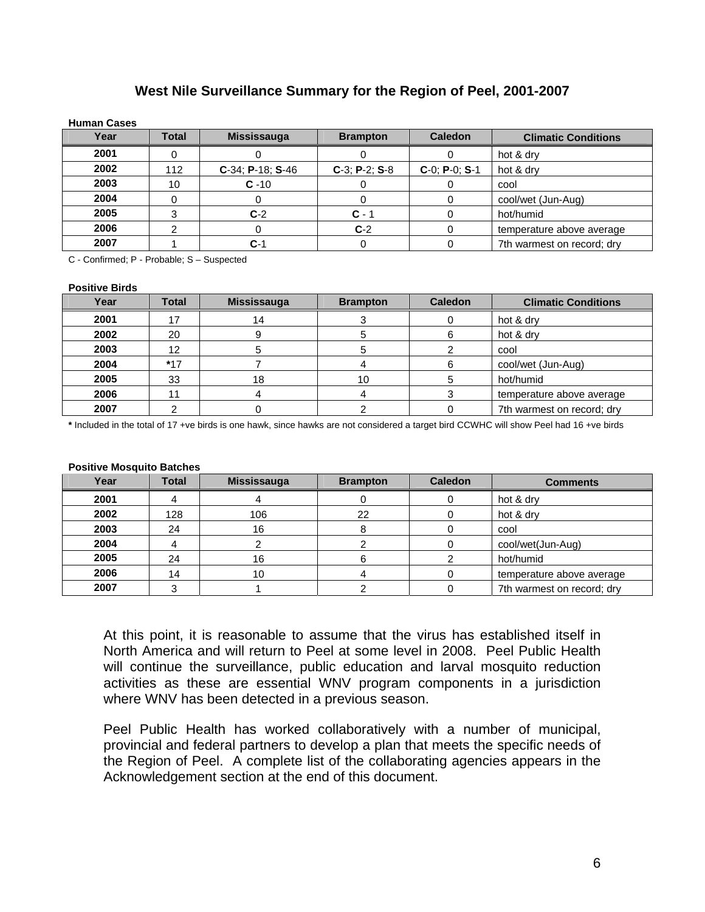#### **West Nile Surveillance Summary for the Region of Peel, 2001-2007**

| <b>Human Cases</b> |              |                     |                  |                  |                            |
|--------------------|--------------|---------------------|------------------|------------------|----------------------------|
| Year               | <b>Total</b> | <b>Mississauga</b>  | <b>Brampton</b>  | <b>Caledon</b>   | <b>Climatic Conditions</b> |
| 2001               |              |                     |                  |                  | hot & dry                  |
| 2002               | 112          | $C-34$ ; P-18; S-46 | $C-3$ ; P-2; S-8 | $C-0$ ; P-0; S-1 | hot & dry                  |
| 2003               | 10           | $C - 10$            |                  |                  | cool                       |
| 2004               |              |                     |                  |                  | cool/wet (Jun-Aug)         |
| 2005               |              | $C-2$               | $C - 1$          |                  | hot/humid                  |
| 2006               |              |                     | $C-2$            |                  | temperature above average  |
| 2007               |              | $C-1$               |                  |                  | 7th warmest on record; dry |

C - Confirmed; P - Probable; S – Suspected

#### **Positive Birds**

| Year | <b>Total</b> | <b>Mississauga</b> | <b>Brampton</b> | <b>Caledon</b> | <b>Climatic Conditions</b> |
|------|--------------|--------------------|-----------------|----------------|----------------------------|
| 2001 |              | 14                 |                 |                | hot & dry                  |
| 2002 | 20           |                    |                 |                | hot & dry                  |
| 2003 | 12           |                    |                 |                | cool                       |
| 2004 | $*17$        |                    |                 |                | cool/wet (Jun-Aug)         |
| 2005 | 33           | 18                 | 10              |                | hot/humid                  |
| 2006 |              |                    |                 |                | temperature above average  |
| 2007 |              |                    |                 |                | 7th warmest on record; dry |

**\*** Included in the total of 17 +ve birds is one hawk, since hawks are not considered a target bird CCWHC will show Peel had 16 +ve birds

#### **Positive Mosquito Batches**

| Year | <b>Total</b> | <b>Mississauga</b> | <b>Brampton</b> | <b>Caledon</b> | <b>Comments</b>            |
|------|--------------|--------------------|-----------------|----------------|----------------------------|
| 2001 |              |                    |                 |                | hot & dry                  |
| 2002 | 128          | 106                | 22              |                | hot & dry                  |
| 2003 | 24           | 16                 |                 |                | cool                       |
| 2004 |              |                    |                 |                | cool/wet(Jun-Aug)          |
| 2005 | 24           | 16                 |                 |                | hot/humid                  |
| 2006 | 14           | 10                 |                 |                | temperature above average  |
| 2007 |              |                    |                 |                | 7th warmest on record; dry |

At this point, it is reasonable to assume that the virus has established itself in North America and will return to Peel at some level in 2008. Peel Public Health will continue the surveillance, public education and larval mosquito reduction activities as these are essential WNV program components in a jurisdiction where WNV has been detected in a previous season.

Peel Public Health has worked collaboratively with a number of municipal, provincial and federal partners to develop a plan that meets the specific needs of the Region of Peel. A complete list of the collaborating agencies appears in the Acknowledgement section at the end of this document.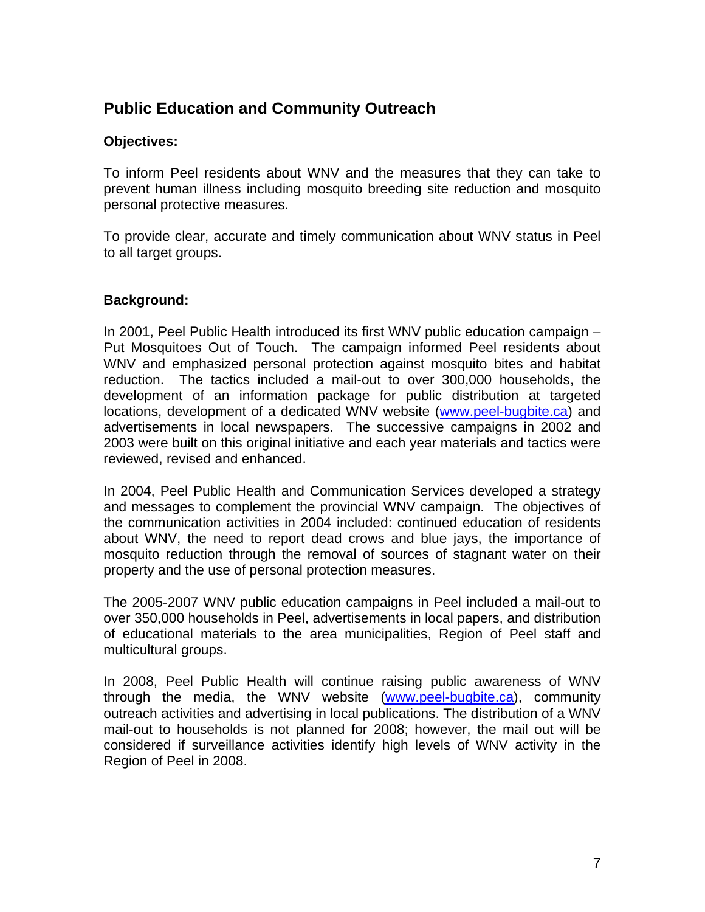## **Public Education and Community Outreach**

#### **Objectives:**

To inform Peel residents about WNV and the measures that they can take to prevent human illness including mosquito breeding site reduction and mosquito personal protective measures.

To provide clear, accurate and timely communication about WNV status in Peel to all target groups.

### **Background:**

In 2001, Peel Public Health introduced its first WNV public education campaign – Put Mosquitoes Out of Touch. The campaign informed Peel residents about WNV and emphasized personal protection against mosquito bites and habitat reduction. The tactics included a mail-out to over 300,000 households, the development of an information package for public distribution at targeted locations, development of a dedicated WNV website (www.peel-bugbite.ca) and advertisements in local newspapers. The successive campaigns in 2002 and 2003 were built on this original initiative and each year materials and tactics were reviewed, revised and enhanced.

In 2004, Peel Public Health and Communication Services developed a strategy and messages to complement the provincial WNV campaign. The objectives of the communication activities in 2004 included: continued education of residents about WNV, the need to report dead crows and blue jays, the importance of mosquito reduction through the removal of sources of stagnant water on their property and the use of personal protection measures.

The 2005-2007 WNV public education campaigns in Peel included a mail-out to over 350,000 households in Peel, advertisements in local papers, and distribution of educational materials to the area municipalities, Region of Peel staff and multicultural groups.

In 2008, Peel Public Health will continue raising public awareness of WNV through the media, the WNV website (www.peel-bugbite.ca), community outreach activities and advertising in local publications. The distribution of a WNV mail-out to households is not planned for 2008; however, the mail out will be considered if surveillance activities identify high levels of WNV activity in the Region of Peel in 2008.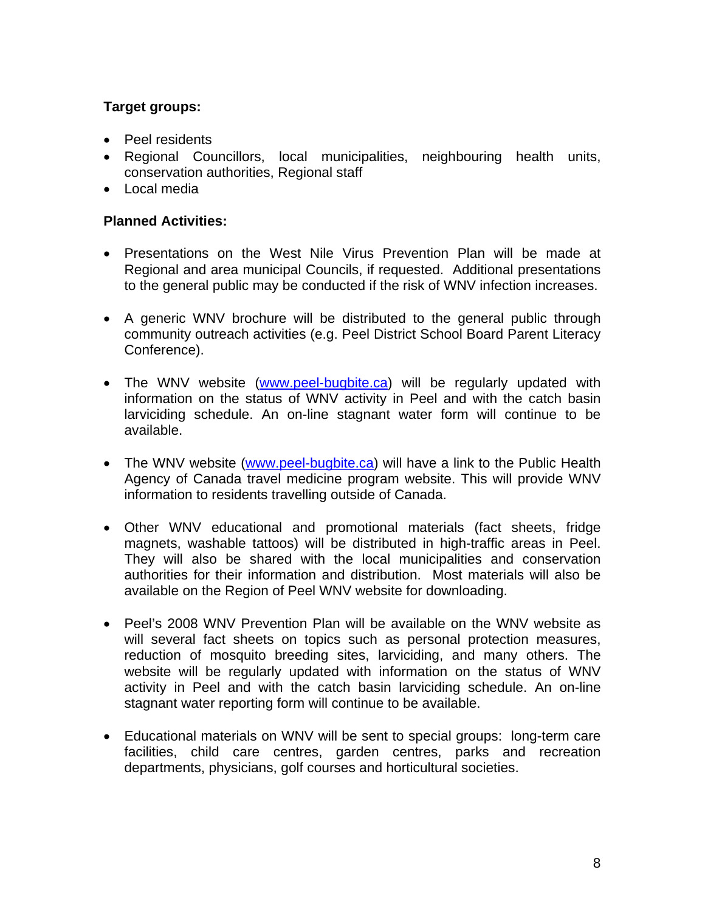#### **Target groups:**

- Peel residents
- Regional Councillors, local municipalities, neighbouring health units, conservation authorities, Regional staff
- Local media

- Presentations on the West Nile Virus Prevention Plan will be made at Regional and area municipal Councils, if requested. Additional presentations to the general public may be conducted if the risk of WNV infection increases.
- A generic WNV brochure will be distributed to the general public through community outreach activities (e.g. Peel District School Board Parent Literacy Conference).
- The WNV website (www.peel-bugbite.ca) will be regularly updated with information on the status of WNV activity in Peel and with the catch basin larviciding schedule. An on-line stagnant water form will continue to be available.
- The WNV website (www.peel-bugbite.ca) will have a link to the Public Health Agency of Canada travel medicine program website. This will provide WNV information to residents travelling outside of Canada.
- Other WNV educational and promotional materials (fact sheets, fridge magnets, washable tattoos) will be distributed in high-traffic areas in Peel. They will also be shared with the local municipalities and conservation authorities for their information and distribution. Most materials will also be available on the Region of Peel WNV website for downloading.
- Peel's 2008 WNV Prevention Plan will be available on the WNV website as will several fact sheets on topics such as personal protection measures, reduction of mosquito breeding sites, larviciding, and many others. The website will be regularly updated with information on the status of WNV activity in Peel and with the catch basin larviciding schedule. An on-line stagnant water reporting form will continue to be available.
- Educational materials on WNV will be sent to special groups: long-term care facilities, child care centres, garden centres, parks and recreation departments, physicians, golf courses and horticultural societies.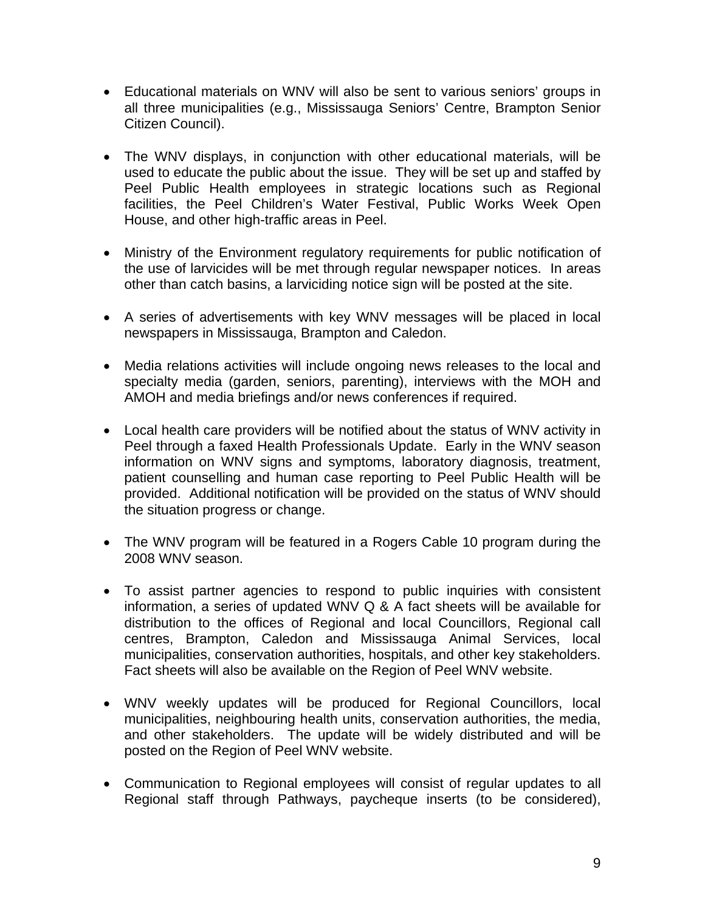- Educational materials on WNV will also be sent to various seniors' groups in all three municipalities (e.g., Mississauga Seniors' Centre, Brampton Senior Citizen Council).
- The WNV displays, in conjunction with other educational materials, will be used to educate the public about the issue. They will be set up and staffed by Peel Public Health employees in strategic locations such as Regional facilities, the Peel Children's Water Festival, Public Works Week Open House, and other high-traffic areas in Peel.
- Ministry of the Environment regulatory requirements for public notification of the use of larvicides will be met through regular newspaper notices. In areas other than catch basins, a larviciding notice sign will be posted at the site.
- A series of advertisements with key WNV messages will be placed in local newspapers in Mississauga, Brampton and Caledon.
- Media relations activities will include ongoing news releases to the local and specialty media (garden, seniors, parenting), interviews with the MOH and AMOH and media briefings and/or news conferences if required.
- Local health care providers will be notified about the status of WNV activity in Peel through a faxed Health Professionals Update. Early in the WNV season information on WNV signs and symptoms, laboratory diagnosis, treatment, patient counselling and human case reporting to Peel Public Health will be provided. Additional notification will be provided on the status of WNV should the situation progress or change.
- The WNV program will be featured in a Rogers Cable 10 program during the 2008 WNV season.
- To assist partner agencies to respond to public inquiries with consistent information, a series of updated WNV Q & A fact sheets will be available for distribution to the offices of Regional and local Councillors, Regional call centres, Brampton, Caledon and Mississauga Animal Services, local municipalities, conservation authorities, hospitals, and other key stakeholders. Fact sheets will also be available on the Region of Peel WNV website.
- WNV weekly updates will be produced for Regional Councillors, local municipalities, neighbouring health units, conservation authorities, the media, and other stakeholders. The update will be widely distributed and will be posted on the Region of Peel WNV website.
- Communication to Regional employees will consist of regular updates to all Regional staff through Pathways, paycheque inserts (to be considered),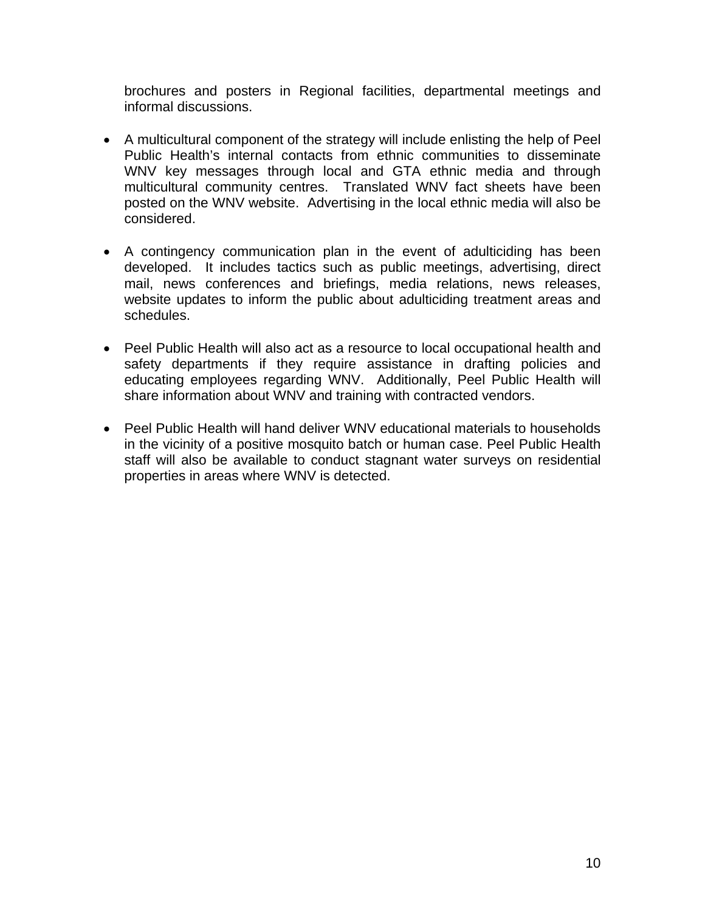brochures and posters in Regional facilities, departmental meetings and informal discussions.

- A multicultural component of the strategy will include enlisting the help of Peel Public Health's internal contacts from ethnic communities to disseminate WNV key messages through local and GTA ethnic media and through multicultural community centres. Translated WNV fact sheets have been posted on the WNV website. Advertising in the local ethnic media will also be considered.
- A contingency communication plan in the event of adulticiding has been developed. It includes tactics such as public meetings, advertising, direct mail, news conferences and briefings, media relations, news releases, website updates to inform the public about adulticiding treatment areas and schedules.
- Peel Public Health will also act as a resource to local occupational health and safety departments if they require assistance in drafting policies and educating employees regarding WNV. Additionally, Peel Public Health will share information about WNV and training with contracted vendors.
- Peel Public Health will hand deliver WNV educational materials to households in the vicinity of a positive mosquito batch or human case. Peel Public Health staff will also be available to conduct stagnant water surveys on residential properties in areas where WNV is detected.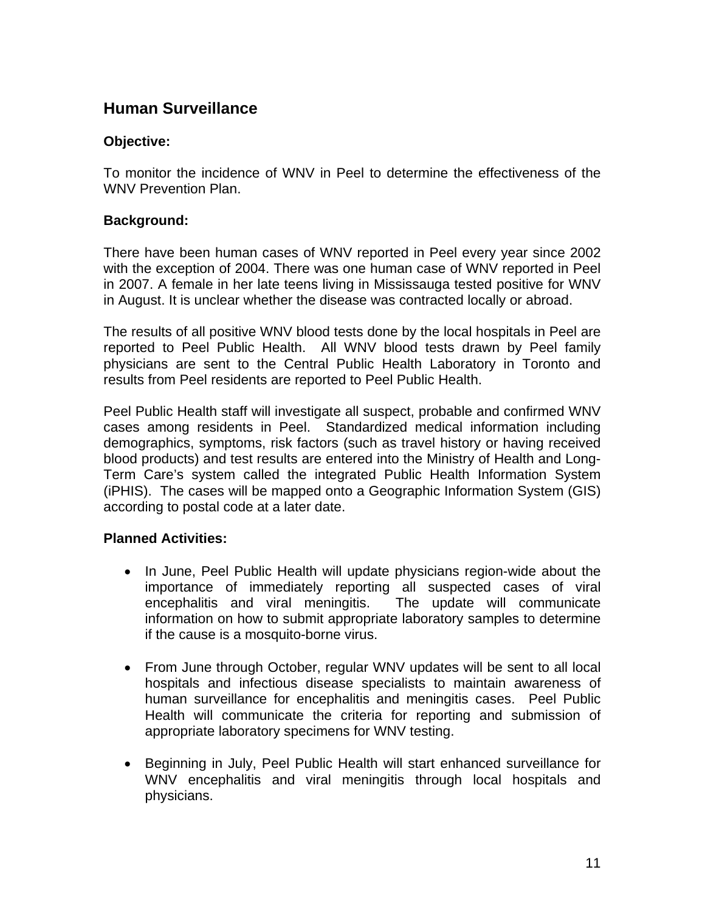## **Human Surveillance**

#### **Objective:**

To monitor the incidence of WNV in Peel to determine the effectiveness of the WNV Prevention Plan.

#### **Background:**

There have been human cases of WNV reported in Peel every year since 2002 with the exception of 2004. There was one human case of WNV reported in Peel in 2007. A female in her late teens living in Mississauga tested positive for WNV in August. It is unclear whether the disease was contracted locally or abroad.

The results of all positive WNV blood tests done by the local hospitals in Peel are reported to Peel Public Health. All WNV blood tests drawn by Peel family physicians are sent to the Central Public Health Laboratory in Toronto and results from Peel residents are reported to Peel Public Health.

Peel Public Health staff will investigate all suspect, probable and confirmed WNV cases among residents in Peel. Standardized medical information including demographics, symptoms, risk factors (such as travel history or having received blood products) and test results are entered into the Ministry of Health and Long-Term Care's system called the integrated Public Health Information System (iPHIS). The cases will be mapped onto a Geographic Information System (GIS) according to postal code at a later date.

- In June, Peel Public Health will update physicians region-wide about the importance of immediately reporting all suspected cases of viral encephalitis and viral meningitis. The update will communicate information on how to submit appropriate laboratory samples to determine if the cause is a mosquito-borne virus.
- From June through October, regular WNV updates will be sent to all local hospitals and infectious disease specialists to maintain awareness of human surveillance for encephalitis and meningitis cases. Peel Public Health will communicate the criteria for reporting and submission of appropriate laboratory specimens for WNV testing.
- Beginning in July, Peel Public Health will start enhanced surveillance for WNV encephalitis and viral meningitis through local hospitals and physicians.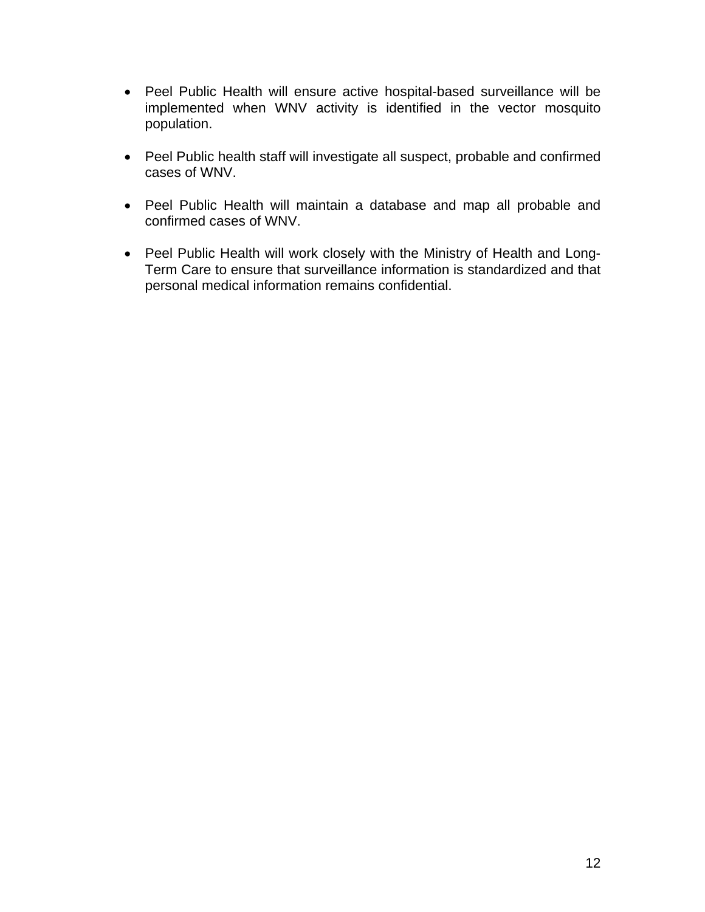- Peel Public Health will ensure active hospital-based surveillance will be implemented when WNV activity is identified in the vector mosquito population.
- Peel Public health staff will investigate all suspect, probable and confirmed cases of WNV.
- Peel Public Health will maintain a database and map all probable and confirmed cases of WNV.
- Peel Public Health will work closely with the Ministry of Health and Long-Term Care to ensure that surveillance information is standardized and that personal medical information remains confidential.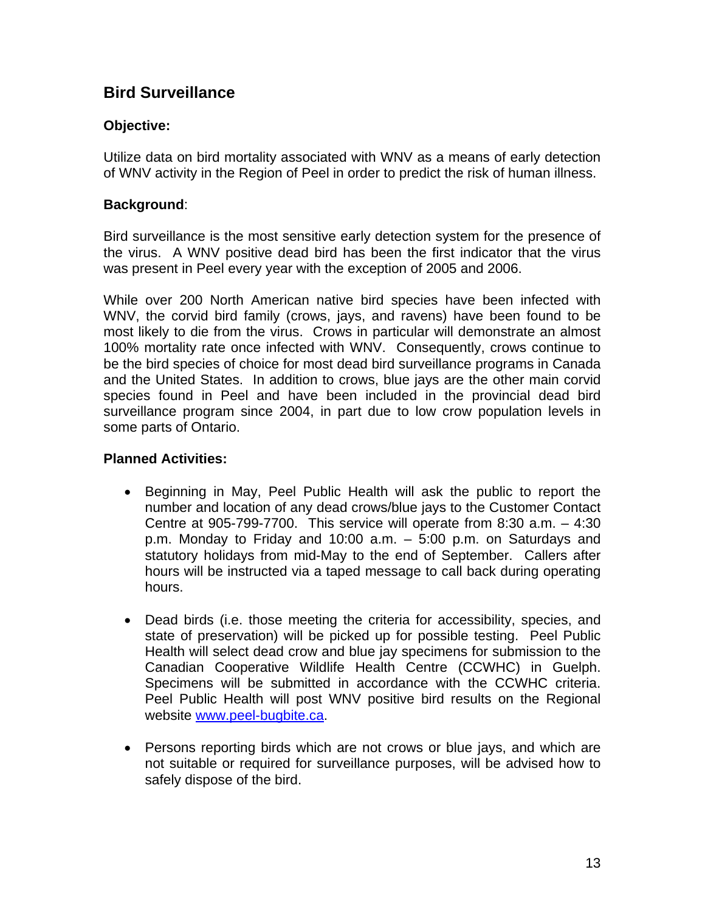## **Bird Surveillance**

#### **Objective:**

Utilize data on bird mortality associated with WNV as a means of early detection of WNV activity in the Region of Peel in order to predict the risk of human illness.

#### **Background**:

Bird surveillance is the most sensitive early detection system for the presence of the virus. A WNV positive dead bird has been the first indicator that the virus was present in Peel every year with the exception of 2005 and 2006.

While over 200 North American native bird species have been infected with WNV, the corvid bird family (crows, jays, and ravens) have been found to be most likely to die from the virus. Crows in particular will demonstrate an almost 100% mortality rate once infected with WNV. Consequently, crows continue to be the bird species of choice for most dead bird surveillance programs in Canada and the United States. In addition to crows, blue jays are the other main corvid species found in Peel and have been included in the provincial dead bird surveillance program since 2004, in part due to low crow population levels in some parts of Ontario.

- Beginning in May, Peel Public Health will ask the public to report the number and location of any dead crows/blue jays to the Customer Contact Centre at 905-799-7700. This service will operate from 8:30 a.m. – 4:30 p.m. Monday to Friday and 10:00 a.m. – 5:00 p.m. on Saturdays and statutory holidays from mid-May to the end of September. Callers after hours will be instructed via a taped message to call back during operating hours.
- Dead birds (i.e. those meeting the criteria for accessibility, species, and state of preservation) will be picked up for possible testing. Peel Public Health will select dead crow and blue jay specimens for submission to the Canadian Cooperative Wildlife Health Centre (CCWHC) in Guelph. Specimens will be submitted in accordance with the CCWHC criteria. Peel Public Health will post WNV positive bird results on the Regional website www.peel-bugbite.ca.
- Persons reporting birds which are not crows or blue jays, and which are not suitable or required for surveillance purposes, will be advised how to safely dispose of the bird.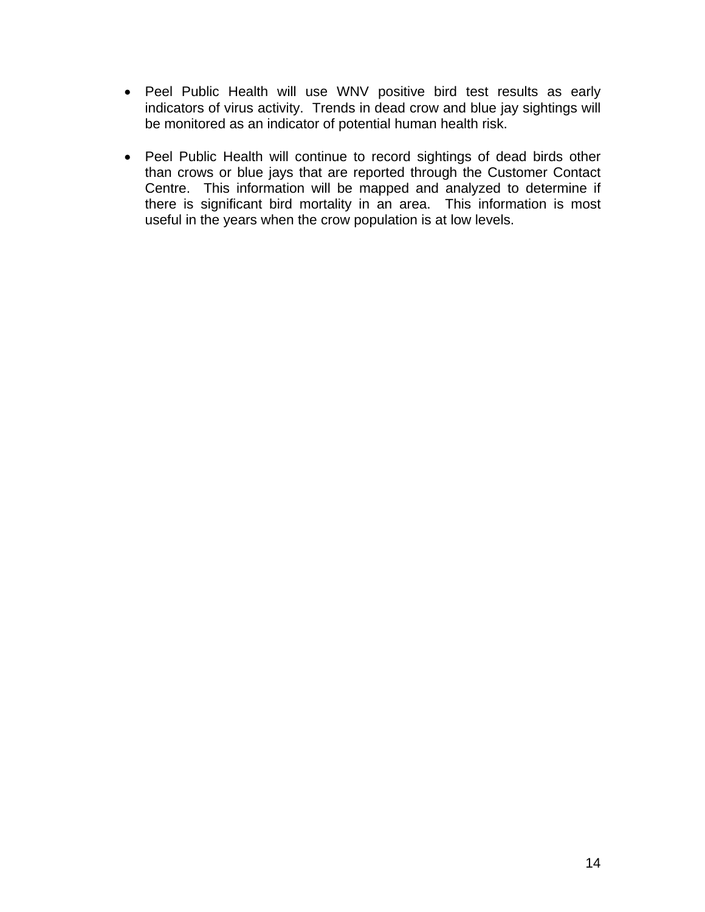- Peel Public Health will use WNV positive bird test results as early indicators of virus activity. Trends in dead crow and blue jay sightings will be monitored as an indicator of potential human health risk.
- Peel Public Health will continue to record sightings of dead birds other than crows or blue jays that are reported through the Customer Contact Centre. This information will be mapped and analyzed to determine if there is significant bird mortality in an area. This information is most useful in the years when the crow population is at low levels.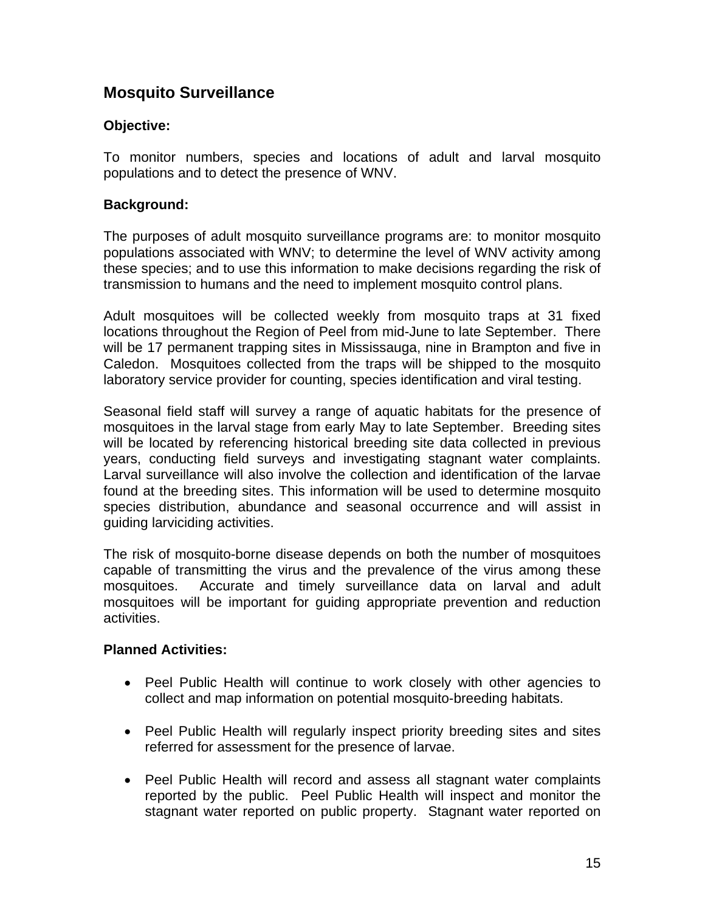## **Mosquito Surveillance**

#### **Objective:**

To monitor numbers, species and locations of adult and larval mosquito populations and to detect the presence of WNV.

#### **Background:**

The purposes of adult mosquito surveillance programs are: to monitor mosquito populations associated with WNV; to determine the level of WNV activity among these species; and to use this information to make decisions regarding the risk of transmission to humans and the need to implement mosquito control plans.

Adult mosquitoes will be collected weekly from mosquito traps at 31 fixed locations throughout the Region of Peel from mid-June to late September. There will be 17 permanent trapping sites in Mississauga, nine in Brampton and five in Caledon. Mosquitoes collected from the traps will be shipped to the mosquito laboratory service provider for counting, species identification and viral testing.

Seasonal field staff will survey a range of aquatic habitats for the presence of mosquitoes in the larval stage from early May to late September. Breeding sites will be located by referencing historical breeding site data collected in previous years, conducting field surveys and investigating stagnant water complaints. Larval surveillance will also involve the collection and identification of the larvae found at the breeding sites. This information will be used to determine mosquito species distribution, abundance and seasonal occurrence and will assist in guiding larviciding activities.

The risk of mosquito-borne disease depends on both the number of mosquitoes capable of transmitting the virus and the prevalence of the virus among these mosquitoes. Accurate and timely surveillance data on larval and adult mosquitoes will be important for guiding appropriate prevention and reduction activities.

- Peel Public Health will continue to work closely with other agencies to collect and map information on potential mosquito-breeding habitats.
- Peel Public Health will regularly inspect priority breeding sites and sites referred for assessment for the presence of larvae.
- Peel Public Health will record and assess all stagnant water complaints reported by the public. Peel Public Health will inspect and monitor the stagnant water reported on public property. Stagnant water reported on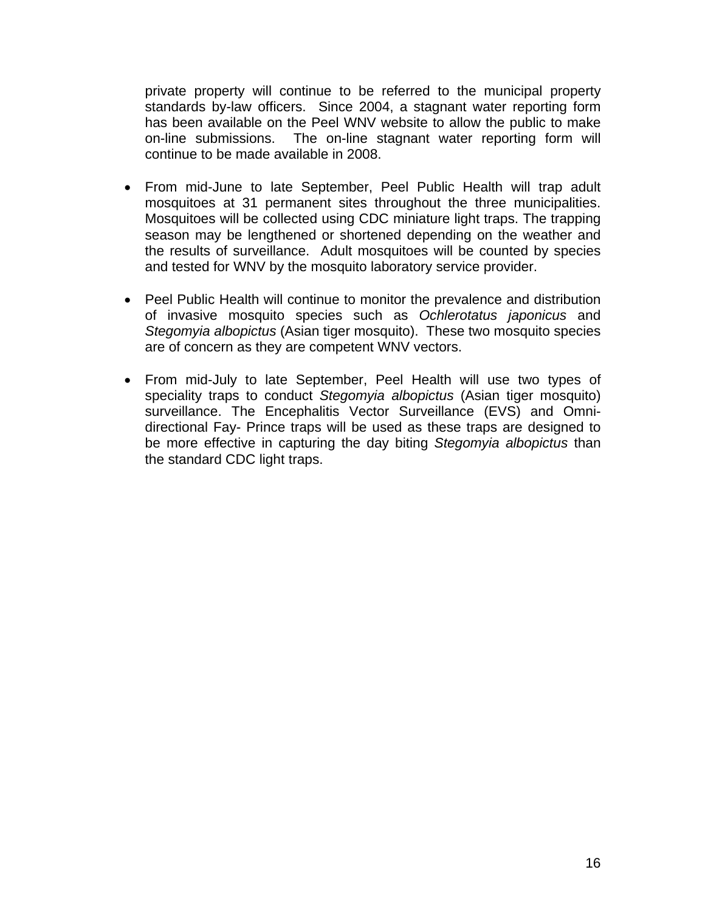private property will continue to be referred to the municipal property standards by-law officers. Since 2004, a stagnant water reporting form has been available on the Peel WNV website to allow the public to make on-line submissions. The on-line stagnant water reporting form will continue to be made available in 2008.

- From mid-June to late September, Peel Public Health will trap adult mosquitoes at 31 permanent sites throughout the three municipalities. Mosquitoes will be collected using CDC miniature light traps. The trapping season may be lengthened or shortened depending on the weather and the results of surveillance. Adult mosquitoes will be counted by species and tested for WNV by the mosquito laboratory service provider.
- Peel Public Health will continue to monitor the prevalence and distribution of invasive mosquito species such as *Ochlerotatus japonicus* and *Stegomyia albopictus* (Asian tiger mosquito). These two mosquito species are of concern as they are competent WNV vectors.
- From mid-July to late September, Peel Health will use two types of speciality traps to conduct *Stegomyia albopictus* (Asian tiger mosquito) surveillance. The Encephalitis Vector Surveillance (EVS) and Omnidirectional Fay- Prince traps will be used as these traps are designed to be more effective in capturing the day biting *Stegomyia albopictus* than the standard CDC light traps.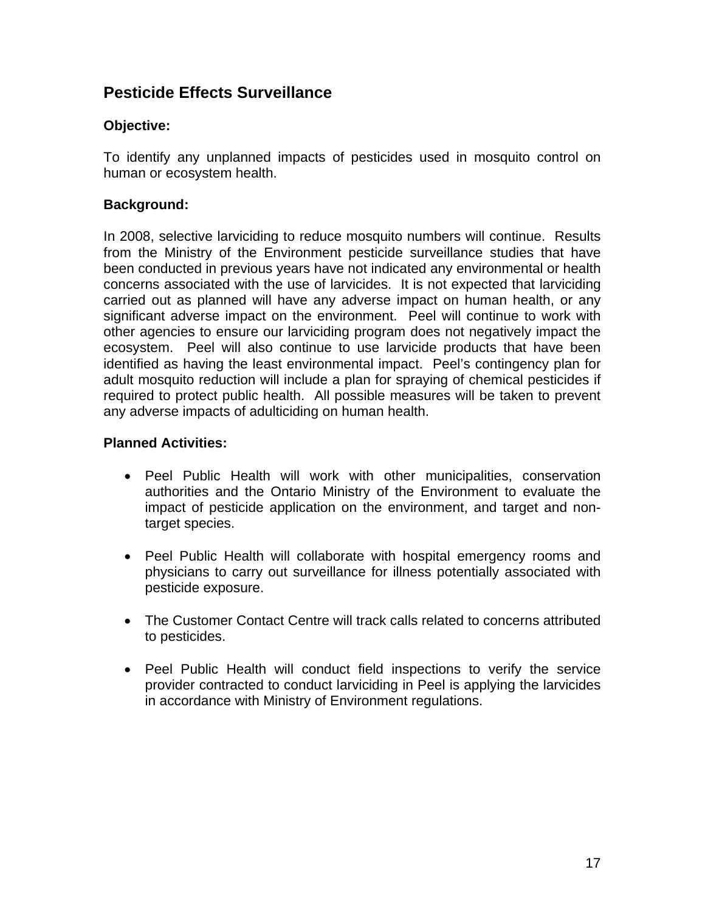## **Pesticide Effects Surveillance**

#### **Objective:**

To identify any unplanned impacts of pesticides used in mosquito control on human or ecosystem health.

#### **Background:**

In 2008, selective larviciding to reduce mosquito numbers will continue. Results from the Ministry of the Environment pesticide surveillance studies that have been conducted in previous years have not indicated any environmental or health concerns associated with the use of larvicides. It is not expected that larviciding carried out as planned will have any adverse impact on human health, or any significant adverse impact on the environment. Peel will continue to work with other agencies to ensure our larviciding program does not negatively impact the ecosystem. Peel will also continue to use larvicide products that have been identified as having the least environmental impact. Peel's contingency plan for adult mosquito reduction will include a plan for spraying of chemical pesticides if required to protect public health. All possible measures will be taken to prevent any adverse impacts of adulticiding on human health.

- Peel Public Health will work with other municipalities, conservation authorities and the Ontario Ministry of the Environment to evaluate the impact of pesticide application on the environment, and target and nontarget species.
- Peel Public Health will collaborate with hospital emergency rooms and physicians to carry out surveillance for illness potentially associated with pesticide exposure.
- The Customer Contact Centre will track calls related to concerns attributed to pesticides.
- Peel Public Health will conduct field inspections to verify the service provider contracted to conduct larviciding in Peel is applying the larvicides in accordance with Ministry of Environment regulations.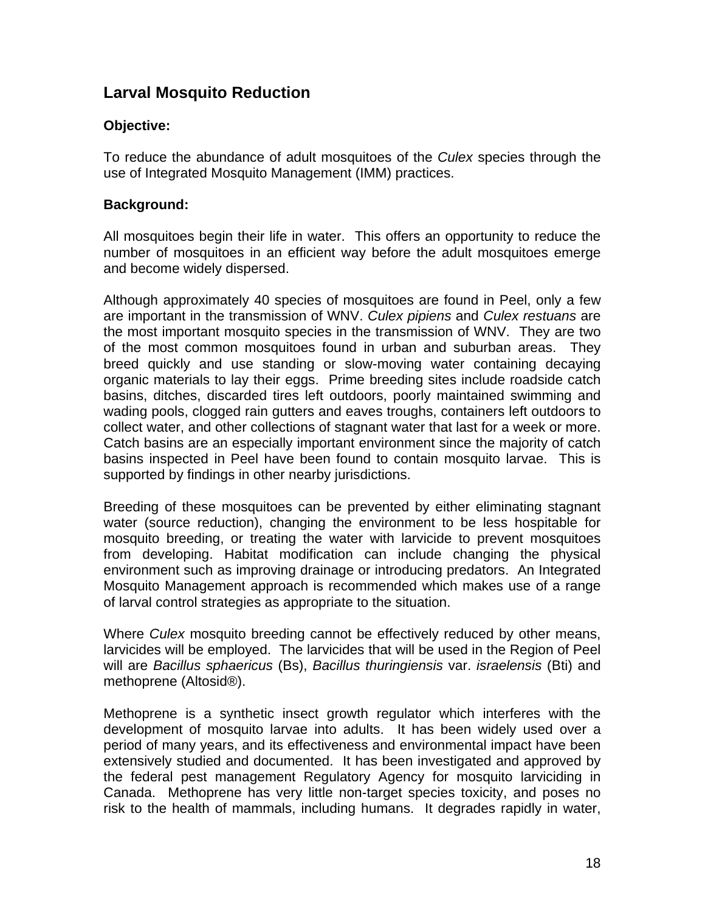## **Larval Mosquito Reduction**

#### **Objective:**

To reduce the abundance of adult mosquitoes of the *Culex* species through the use of Integrated Mosquito Management (IMM) practices.

#### **Background:**

All mosquitoes begin their life in water. This offers an opportunity to reduce the number of mosquitoes in an efficient way before the adult mosquitoes emerge and become widely dispersed.

Although approximately 40 species of mosquitoes are found in Peel, only a few are important in the transmission of WNV. *Culex pipiens* and *Culex restuans* are the most important mosquito species in the transmission of WNV. They are two of the most common mosquitoes found in urban and suburban areas. They breed quickly and use standing or slow-moving water containing decaying organic materials to lay their eggs. Prime breeding sites include roadside catch basins, ditches, discarded tires left outdoors, poorly maintained swimming and wading pools, clogged rain gutters and eaves troughs, containers left outdoors to collect water, and other collections of stagnant water that last for a week or more. Catch basins are an especially important environment since the majority of catch basins inspected in Peel have been found to contain mosquito larvae. This is supported by findings in other nearby jurisdictions.

Breeding of these mosquitoes can be prevented by either eliminating stagnant water (source reduction), changing the environment to be less hospitable for mosquito breeding, or treating the water with larvicide to prevent mosquitoes from developing. Habitat modification can include changing the physical environment such as improving drainage or introducing predators. An Integrated Mosquito Management approach is recommended which makes use of a range of larval control strategies as appropriate to the situation.

Where *Culex* mosquito breeding cannot be effectively reduced by other means, larvicides will be employed. The larvicides that will be used in the Region of Peel will are *Bacillus sphaericus* (Bs), *Bacillus thuringiensis* var. *israelensis* (Bti) and methoprene (Altosid®).

Methoprene is a synthetic insect growth regulator which interferes with the development of mosquito larvae into adults. It has been widely used over a period of many years, and its effectiveness and environmental impact have been extensively studied and documented. It has been investigated and approved by the federal pest management Regulatory Agency for mosquito larviciding in Canada. Methoprene has very little non-target species toxicity, and poses no risk to the health of mammals, including humans. It degrades rapidly in water,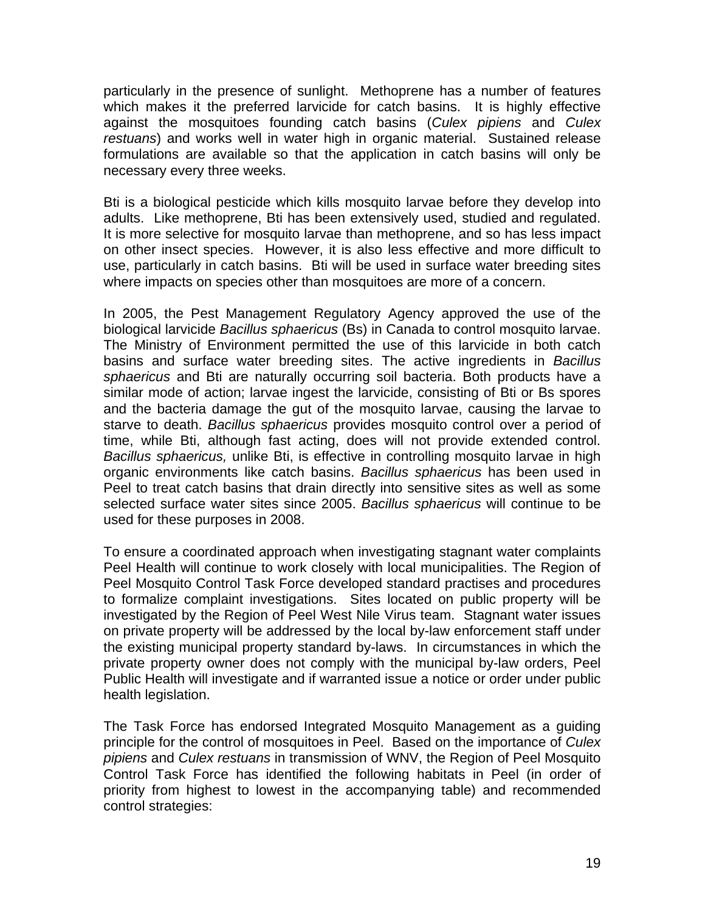particularly in the presence of sunlight. Methoprene has a number of features which makes it the preferred larvicide for catch basins. It is highly effective against the mosquitoes founding catch basins (*Culex pipiens* and *Culex restuans*) and works well in water high in organic material. Sustained release formulations are available so that the application in catch basins will only be necessary every three weeks.

Bti is a biological pesticide which kills mosquito larvae before they develop into adults. Like methoprene, Bti has been extensively used, studied and regulated. It is more selective for mosquito larvae than methoprene, and so has less impact on other insect species. However, it is also less effective and more difficult to use, particularly in catch basins. Bti will be used in surface water breeding sites where impacts on species other than mosquitoes are more of a concern.

In 2005, the Pest Management Regulatory Agency approved the use of the biological larvicide *Bacillus sphaericus* (Bs) in Canada to control mosquito larvae. The Ministry of Environment permitted the use of this larvicide in both catch basins and surface water breeding sites. The active ingredients in *Bacillus sphaericus* and Bti are naturally occurring soil bacteria. Both products have a similar mode of action; larvae ingest the larvicide, consisting of Bti or Bs spores and the bacteria damage the gut of the mosquito larvae, causing the larvae to starve to death. *Bacillus sphaericus* provides mosquito control over a period of time, while Bti, although fast acting, does will not provide extended control. *Bacillus sphaericus,* unlike Bti, is effective in controlling mosquito larvae in high organic environments like catch basins. *Bacillus sphaericus* has been used in Peel to treat catch basins that drain directly into sensitive sites as well as some selected surface water sites since 2005. *Bacillus sphaericus* will continue to be used for these purposes in 2008.

To ensure a coordinated approach when investigating stagnant water complaints Peel Health will continue to work closely with local municipalities. The Region of Peel Mosquito Control Task Force developed standard practises and procedures to formalize complaint investigations. Sites located on public property will be investigated by the Region of Peel West Nile Virus team. Stagnant water issues on private property will be addressed by the local by-law enforcement staff under the existing municipal property standard by-laws. In circumstances in which the private property owner does not comply with the municipal by-law orders, Peel Public Health will investigate and if warranted issue a notice or order under public health legislation.

The Task Force has endorsed Integrated Mosquito Management as a guiding principle for the control of mosquitoes in Peel. Based on the importance of *Culex pipiens* and *Culex restuans* in transmission of WNV, the Region of Peel Mosquito Control Task Force has identified the following habitats in Peel (in order of priority from highest to lowest in the accompanying table) and recommended control strategies: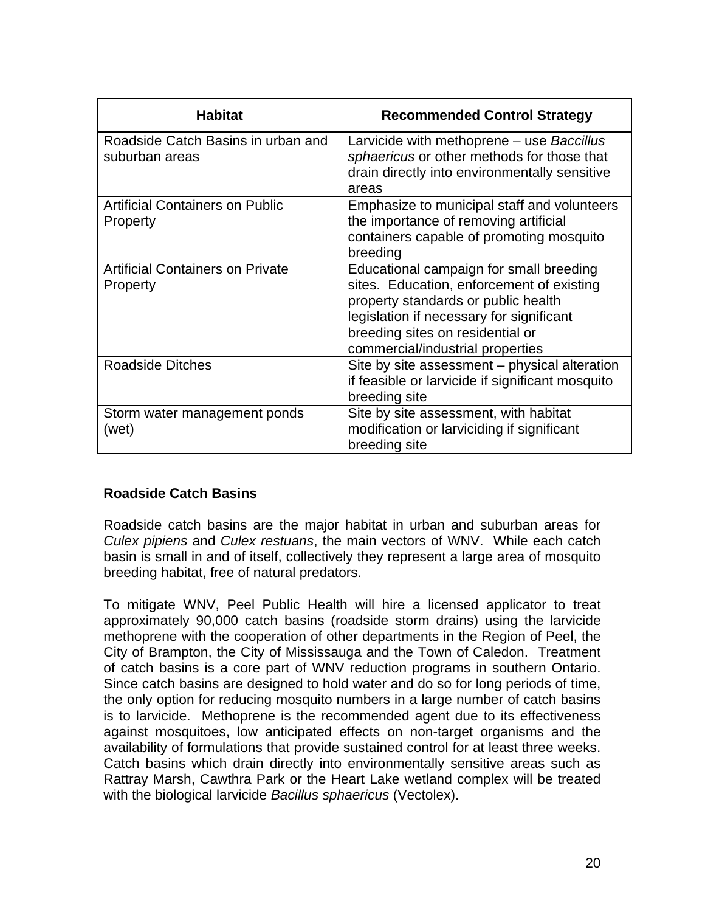| <b>Habitat</b>                                       | <b>Recommended Control Strategy</b>                                                                                                                                                                                                             |
|------------------------------------------------------|-------------------------------------------------------------------------------------------------------------------------------------------------------------------------------------------------------------------------------------------------|
| Roadside Catch Basins in urban and<br>suburban areas | Larvicide with methoprene – use Baccillus<br>sphaericus or other methods for those that<br>drain directly into environmentally sensitive<br>areas                                                                                               |
| <b>Artificial Containers on Public</b><br>Property   | Emphasize to municipal staff and volunteers<br>the importance of removing artificial<br>containers capable of promoting mosquito<br>breeding                                                                                                    |
| <b>Artificial Containers on Private</b><br>Property  | Educational campaign for small breeding<br>sites. Education, enforcement of existing<br>property standards or public health<br>legislation if necessary for significant<br>breeding sites on residential or<br>commercial/industrial properties |
| <b>Roadside Ditches</b>                              | Site by site assessment - physical alteration<br>if feasible or larvicide if significant mosquito<br>breeding site                                                                                                                              |
| Storm water management ponds<br>(wet)                | Site by site assessment, with habitat<br>modification or larviciding if significant<br>breeding site                                                                                                                                            |

#### **Roadside Catch Basins**

Roadside catch basins are the major habitat in urban and suburban areas for *Culex pipiens* and *Culex restuans*, the main vectors of WNV. While each catch basin is small in and of itself, collectively they represent a large area of mosquito breeding habitat, free of natural predators.

To mitigate WNV, Peel Public Health will hire a licensed applicator to treat approximately 90,000 catch basins (roadside storm drains) using the larvicide methoprene with the cooperation of other departments in the Region of Peel, the City of Brampton, the City of Mississauga and the Town of Caledon. Treatment of catch basins is a core part of WNV reduction programs in southern Ontario. Since catch basins are designed to hold water and do so for long periods of time, the only option for reducing mosquito numbers in a large number of catch basins is to larvicide. Methoprene is the recommended agent due to its effectiveness against mosquitoes, low anticipated effects on non-target organisms and the availability of formulations that provide sustained control for at least three weeks. Catch basins which drain directly into environmentally sensitive areas such as Rattray Marsh, Cawthra Park or the Heart Lake wetland complex will be treated with the biological larvicide *Bacillus sphaericus* (Vectolex).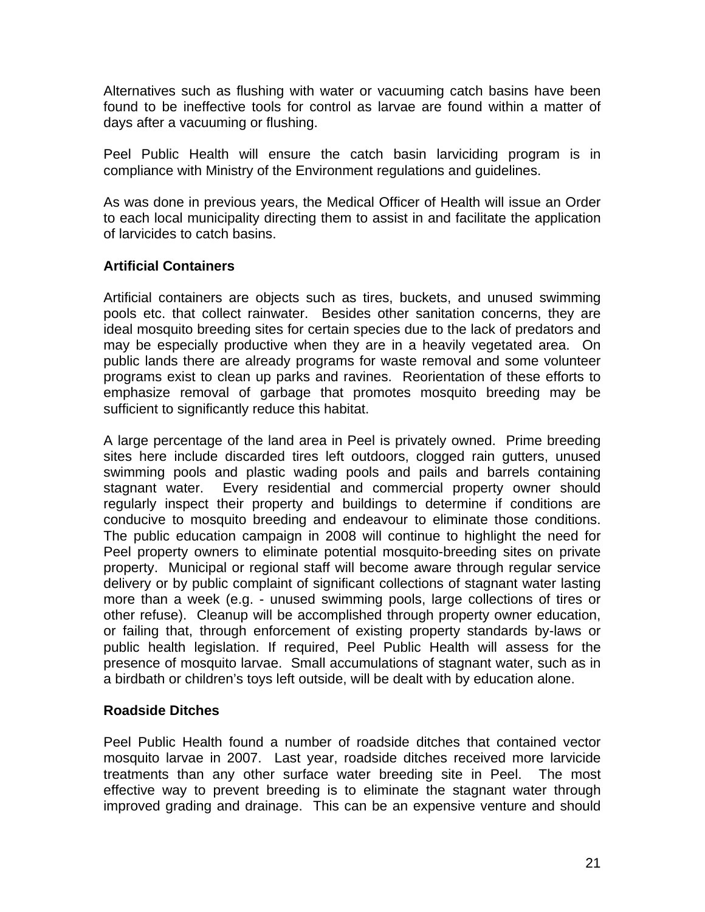Alternatives such as flushing with water or vacuuming catch basins have been found to be ineffective tools for control as larvae are found within a matter of days after a vacuuming or flushing.

Peel Public Health will ensure the catch basin larviciding program is in compliance with Ministry of the Environment regulations and guidelines.

As was done in previous years, the Medical Officer of Health will issue an Order to each local municipality directing them to assist in and facilitate the application of larvicides to catch basins.

#### **Artificial Containers**

Artificial containers are objects such as tires, buckets, and unused swimming pools etc. that collect rainwater. Besides other sanitation concerns, they are ideal mosquito breeding sites for certain species due to the lack of predators and may be especially productive when they are in a heavily vegetated area. On public lands there are already programs for waste removal and some volunteer programs exist to clean up parks and ravines. Reorientation of these efforts to emphasize removal of garbage that promotes mosquito breeding may be sufficient to significantly reduce this habitat.

A large percentage of the land area in Peel is privately owned. Prime breeding sites here include discarded tires left outdoors, clogged rain gutters, unused swimming pools and plastic wading pools and pails and barrels containing stagnant water. Every residential and commercial property owner should regularly inspect their property and buildings to determine if conditions are conducive to mosquito breeding and endeavour to eliminate those conditions. The public education campaign in 2008 will continue to highlight the need for Peel property owners to eliminate potential mosquito-breeding sites on private property. Municipal or regional staff will become aware through regular service delivery or by public complaint of significant collections of stagnant water lasting more than a week (e.g. - unused swimming pools, large collections of tires or other refuse). Cleanup will be accomplished through property owner education, or failing that, through enforcement of existing property standards by-laws or public health legislation. If required, Peel Public Health will assess for the presence of mosquito larvae. Small accumulations of stagnant water, such as in a birdbath or children's toys left outside, will be dealt with by education alone.

#### **Roadside Ditches**

Peel Public Health found a number of roadside ditches that contained vector mosquito larvae in 2007. Last year, roadside ditches received more larvicide treatments than any other surface water breeding site in Peel. The most effective way to prevent breeding is to eliminate the stagnant water through improved grading and drainage. This can be an expensive venture and should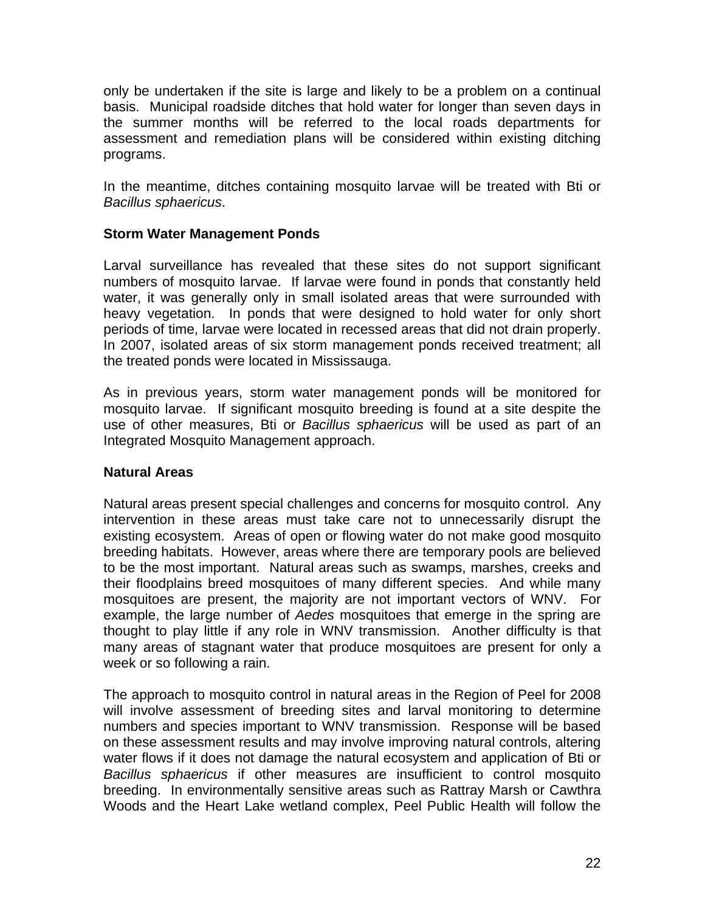only be undertaken if the site is large and likely to be a problem on a continual basis. Municipal roadside ditches that hold water for longer than seven days in the summer months will be referred to the local roads departments for assessment and remediation plans will be considered within existing ditching programs.

In the meantime, ditches containing mosquito larvae will be treated with Bti or *Bacillus sphaericus*.

#### **Storm Water Management Ponds**

Larval surveillance has revealed that these sites do not support significant numbers of mosquito larvae. If larvae were found in ponds that constantly held water, it was generally only in small isolated areas that were surrounded with heavy vegetation. In ponds that were designed to hold water for only short periods of time, larvae were located in recessed areas that did not drain properly. In 2007, isolated areas of six storm management ponds received treatment; all the treated ponds were located in Mississauga.

As in previous years, storm water management ponds will be monitored for mosquito larvae. If significant mosquito breeding is found at a site despite the use of other measures, Bti or *Bacillus sphaericus* will be used as part of an Integrated Mosquito Management approach.

#### **Natural Areas**

Natural areas present special challenges and concerns for mosquito control. Any intervention in these areas must take care not to unnecessarily disrupt the existing ecosystem. Areas of open or flowing water do not make good mosquito breeding habitats. However, areas where there are temporary pools are believed to be the most important. Natural areas such as swamps, marshes, creeks and their floodplains breed mosquitoes of many different species. And while many mosquitoes are present, the majority are not important vectors of WNV. For example, the large number of *Aedes* mosquitoes that emerge in the spring are thought to play little if any role in WNV transmission. Another difficulty is that many areas of stagnant water that produce mosquitoes are present for only a week or so following a rain.

The approach to mosquito control in natural areas in the Region of Peel for 2008 will involve assessment of breeding sites and larval monitoring to determine numbers and species important to WNV transmission. Response will be based on these assessment results and may involve improving natural controls, altering water flows if it does not damage the natural ecosystem and application of Bti or *Bacillus sphaericus* if other measures are insufficient to control mosquito breeding. In environmentally sensitive areas such as Rattray Marsh or Cawthra Woods and the Heart Lake wetland complex, Peel Public Health will follow the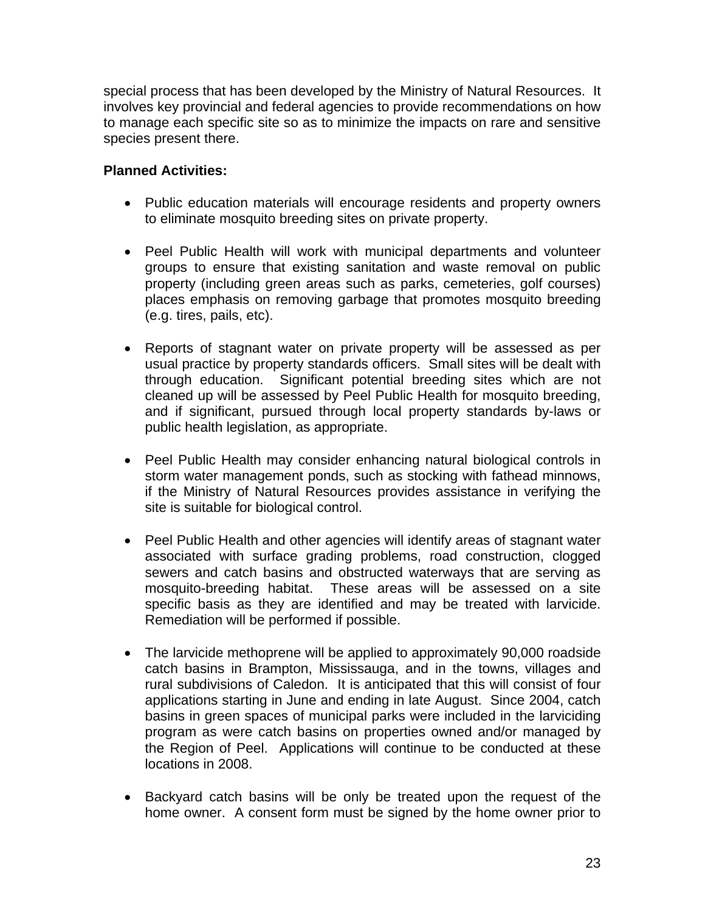special process that has been developed by the Ministry of Natural Resources. It involves key provincial and federal agencies to provide recommendations on how to manage each specific site so as to minimize the impacts on rare and sensitive species present there.

- Public education materials will encourage residents and property owners to eliminate mosquito breeding sites on private property.
- Peel Public Health will work with municipal departments and volunteer groups to ensure that existing sanitation and waste removal on public property (including green areas such as parks, cemeteries, golf courses) places emphasis on removing garbage that promotes mosquito breeding (e.g. tires, pails, etc).
- Reports of stagnant water on private property will be assessed as per usual practice by property standards officers. Small sites will be dealt with through education. Significant potential breeding sites which are not cleaned up will be assessed by Peel Public Health for mosquito breeding, and if significant, pursued through local property standards by-laws or public health legislation, as appropriate.
- Peel Public Health may consider enhancing natural biological controls in storm water management ponds, such as stocking with fathead minnows, if the Ministry of Natural Resources provides assistance in verifying the site is suitable for biological control.
- Peel Public Health and other agencies will identify areas of stagnant water associated with surface grading problems, road construction, clogged sewers and catch basins and obstructed waterways that are serving as mosquito-breeding habitat. These areas will be assessed on a site specific basis as they are identified and may be treated with larvicide. Remediation will be performed if possible.
- The larvicide methoprene will be applied to approximately 90,000 roadside catch basins in Brampton, Mississauga, and in the towns, villages and rural subdivisions of Caledon. It is anticipated that this will consist of four applications starting in June and ending in late August. Since 2004, catch basins in green spaces of municipal parks were included in the larviciding program as were catch basins on properties owned and/or managed by the Region of Peel. Applications will continue to be conducted at these locations in 2008.
- Backyard catch basins will be only be treated upon the request of the home owner. A consent form must be signed by the home owner prior to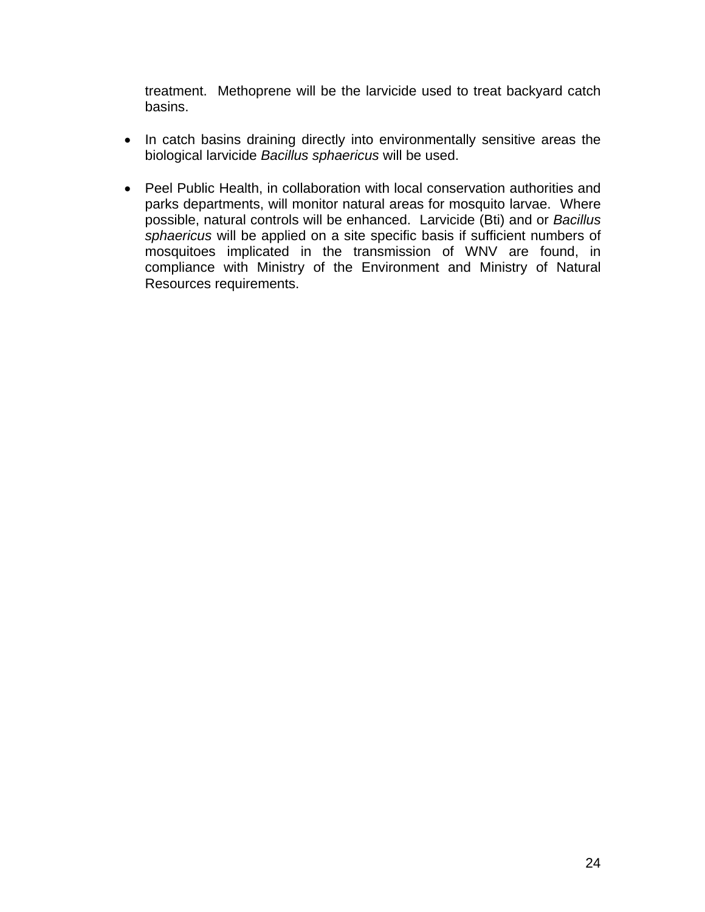treatment. Methoprene will be the larvicide used to treat backyard catch basins.

- In catch basins draining directly into environmentally sensitive areas the biological larvicide *Bacillus sphaericus* will be used.
- Peel Public Health, in collaboration with local conservation authorities and parks departments, will monitor natural areas for mosquito larvae. Where possible, natural controls will be enhanced. Larvicide (Bti) and or *Bacillus sphaericus* will be applied on a site specific basis if sufficient numbers of mosquitoes implicated in the transmission of WNV are found, in compliance with Ministry of the Environment and Ministry of Natural Resources requirements.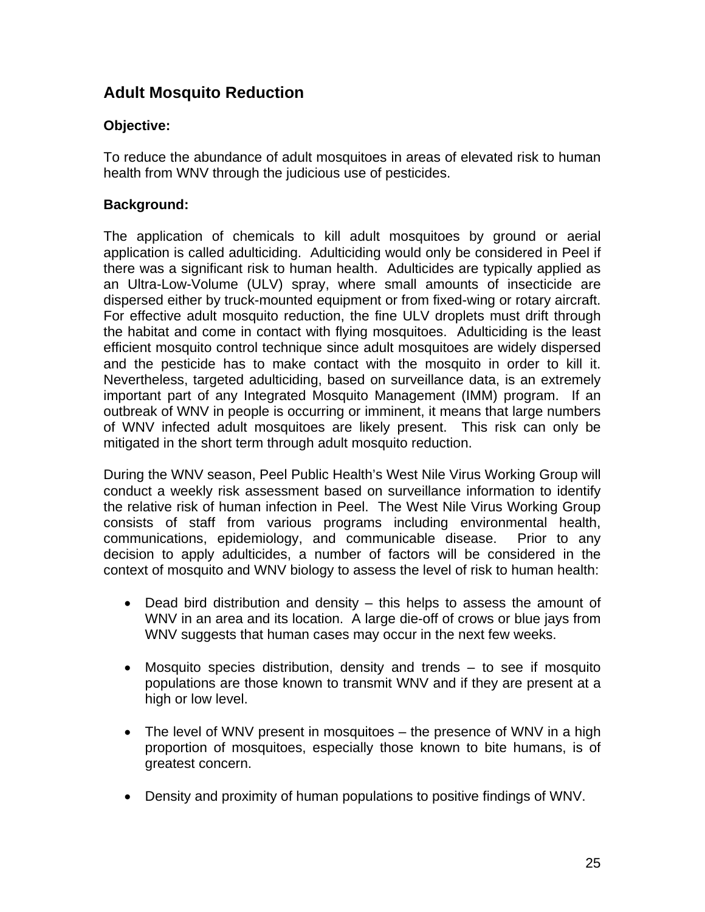## **Adult Mosquito Reduction**

#### **Objective:**

To reduce the abundance of adult mosquitoes in areas of elevated risk to human health from WNV through the judicious use of pesticides.

#### **Background:**

The application of chemicals to kill adult mosquitoes by ground or aerial application is called adulticiding. Adulticiding would only be considered in Peel if there was a significant risk to human health. Adulticides are typically applied as an Ultra-Low-Volume (ULV) spray, where small amounts of insecticide are dispersed either by truck-mounted equipment or from fixed-wing or rotary aircraft. For effective adult mosquito reduction, the fine ULV droplets must drift through the habitat and come in contact with flying mosquitoes. Adulticiding is the least efficient mosquito control technique since adult mosquitoes are widely dispersed and the pesticide has to make contact with the mosquito in order to kill it. Nevertheless, targeted adulticiding, based on surveillance data, is an extremely important part of any Integrated Mosquito Management (IMM) program. If an outbreak of WNV in people is occurring or imminent, it means that large numbers of WNV infected adult mosquitoes are likely present. This risk can only be mitigated in the short term through adult mosquito reduction.

During the WNV season, Peel Public Health's West Nile Virus Working Group will conduct a weekly risk assessment based on surveillance information to identify the relative risk of human infection in Peel. The West Nile Virus Working Group consists of staff from various programs including environmental health, communications, epidemiology, and communicable disease. Prior to any decision to apply adulticides, a number of factors will be considered in the context of mosquito and WNV biology to assess the level of risk to human health:

- Dead bird distribution and density this helps to assess the amount of WNV in an area and its location. A large die-off of crows or blue jays from WNV suggests that human cases may occur in the next few weeks.
- Mosquito species distribution, density and trends to see if mosquito populations are those known to transmit WNV and if they are present at a high or low level.
- The level of WNV present in mosquitoes the presence of WNV in a high proportion of mosquitoes, especially those known to bite humans, is of greatest concern.
- Density and proximity of human populations to positive findings of WNV.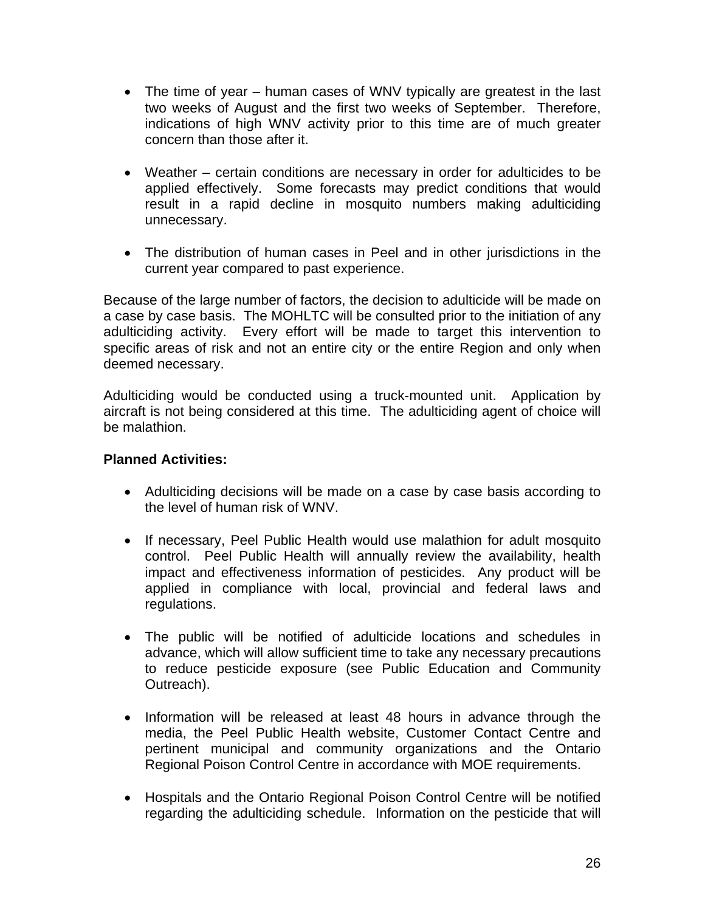- The time of year human cases of WNV typically are greatest in the last two weeks of August and the first two weeks of September. Therefore, indications of high WNV activity prior to this time are of much greater concern than those after it.
- Weather certain conditions are necessary in order for adulticides to be applied effectively. Some forecasts may predict conditions that would result in a rapid decline in mosquito numbers making adulticiding unnecessary.
- The distribution of human cases in Peel and in other jurisdictions in the current year compared to past experience.

Because of the large number of factors, the decision to adulticide will be made on a case by case basis. The MOHLTC will be consulted prior to the initiation of any adulticiding activity. Every effort will be made to target this intervention to specific areas of risk and not an entire city or the entire Region and only when deemed necessary.

Adulticiding would be conducted using a truck-mounted unit. Application by aircraft is not being considered at this time. The adulticiding agent of choice will be malathion.

- Adulticiding decisions will be made on a case by case basis according to the level of human risk of WNV.
- If necessary, Peel Public Health would use malathion for adult mosquito control. Peel Public Health will annually review the availability, health impact and effectiveness information of pesticides. Any product will be applied in compliance with local, provincial and federal laws and regulations.
- The public will be notified of adulticide locations and schedules in advance, which will allow sufficient time to take any necessary precautions to reduce pesticide exposure (see Public Education and Community Outreach).
- Information will be released at least 48 hours in advance through the media, the Peel Public Health website, Customer Contact Centre and pertinent municipal and community organizations and the Ontario Regional Poison Control Centre in accordance with MOE requirements.
- Hospitals and the Ontario Regional Poison Control Centre will be notified regarding the adulticiding schedule. Information on the pesticide that will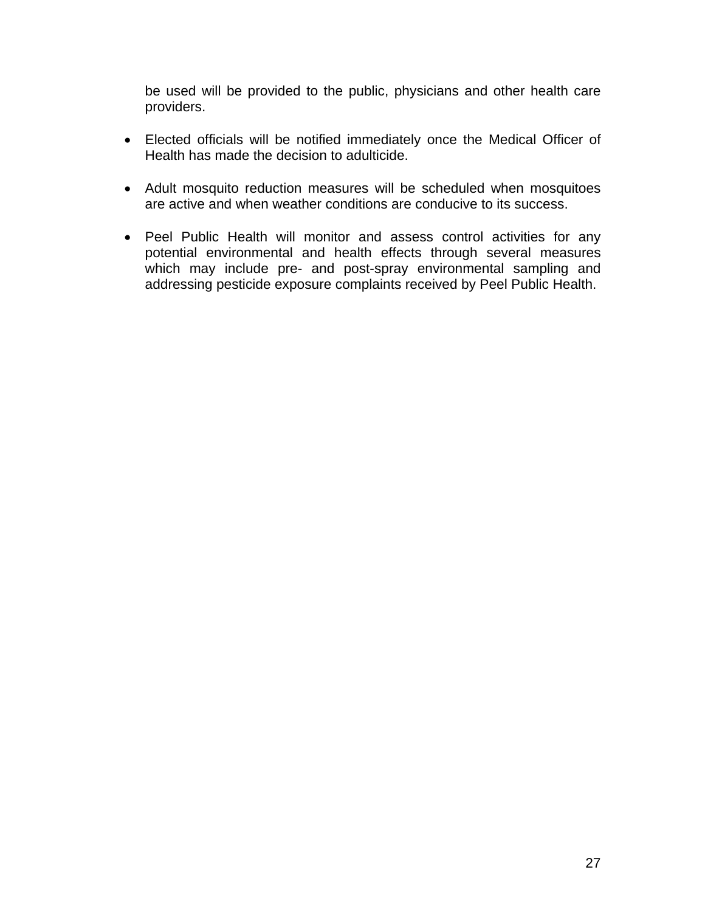be used will be provided to the public, physicians and other health care providers.

- Elected officials will be notified immediately once the Medical Officer of Health has made the decision to adulticide.
- Adult mosquito reduction measures will be scheduled when mosquitoes are active and when weather conditions are conducive to its success.
- Peel Public Health will monitor and assess control activities for any potential environmental and health effects through several measures which may include pre- and post-spray environmental sampling and addressing pesticide exposure complaints received by Peel Public Health.